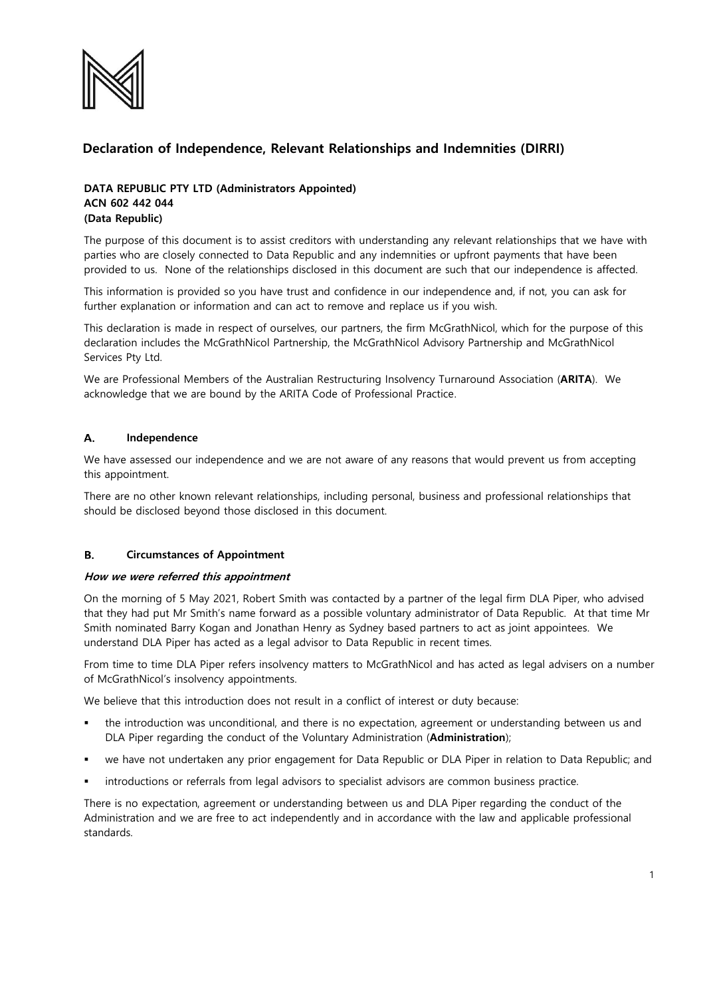

# **Declaration of Independence, Relevant Relationships and Indemnities (DIRRI)**

### **DATA REPUBLIC PTY LTD (Administrators Appointed) ACN 602 442 044 (Data Republic)**

The purpose of this document is to assist creditors with understanding any relevant relationships that we have with parties who are closely connected to Data Republic and any indemnities or upfront payments that have been provided to us. None of the relationships disclosed in this document are such that our independence is affected.

This information is provided so you have trust and confidence in our independence and, if not, you can ask for further explanation or information and can act to remove and replace us if you wish.

This declaration is made in respect of ourselves, our partners, the firm McGrathNicol, which for the purpose of this declaration includes the McGrathNicol Partnership, the McGrathNicol Advisory Partnership and McGrathNicol Services Pty Ltd.

We are Professional Members of the Australian Restructuring Insolvency Turnaround Association (**ARITA**). We acknowledge that we are bound by the ARITA Code of Professional Practice.

### A. **Independence**

We have assessed our independence and we are not aware of any reasons that would prevent us from accepting this appointment.

There are no other known relevant relationships, including personal, business and professional relationships that should be disclosed beyond those disclosed in this document.

### **B. Circumstances of Appointment**

### **How we were referred this appointment**

On the morning of 5 May 2021, Robert Smith was contacted by a partner of the legal firm DLA Piper, who advised that they had put Mr Smith's name forward as a possible voluntary administrator of Data Republic. At that time Mr Smith nominated Barry Kogan and Jonathan Henry as Sydney based partners to act as joint appointees. We understand DLA Piper has acted as a legal advisor to Data Republic in recent times.

From time to time DLA Piper refers insolvency matters to McGrathNicol and has acted as legal advisers on a number of McGrathNicol's insolvency appointments.

We believe that this introduction does not result in a conflict of interest or duty because:

- the introduction was unconditional, and there is no expectation, agreement or understanding between us and DLA Piper regarding the conduct of the Voluntary Administration (**Administration**);
- we have not undertaken any prior engagement for Data Republic or DLA Piper in relation to Data Republic; and
- introductions or referrals from legal advisors to specialist advisors are common business practice.

There is no expectation, agreement or understanding between us and DLA Piper regarding the conduct of the Administration and we are free to act independently and in accordance with the law and applicable professional standards.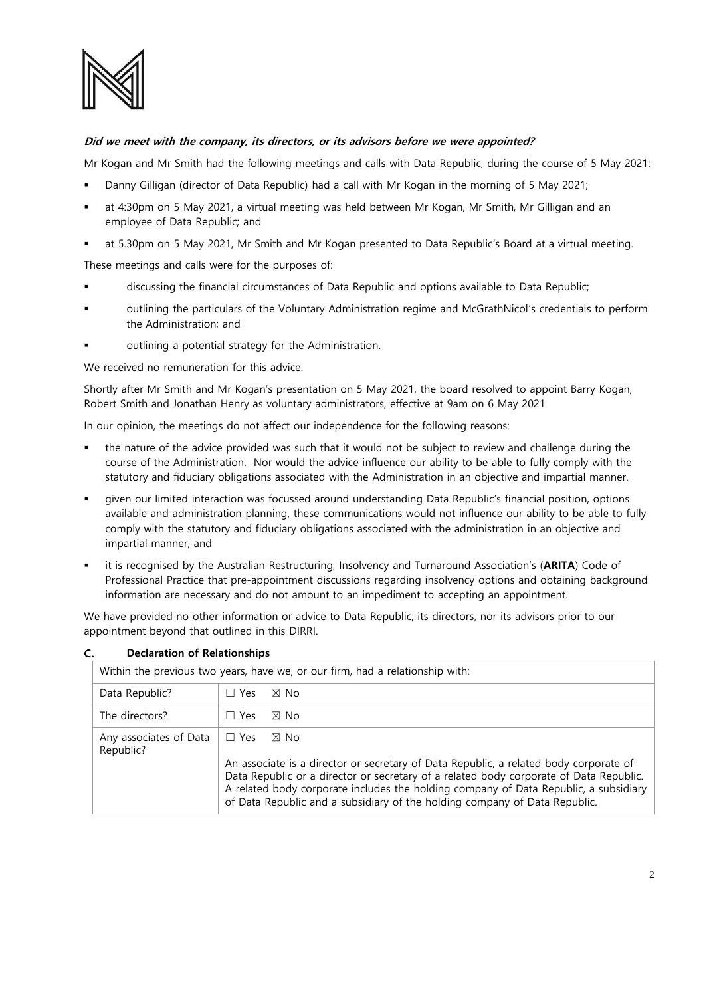

## **Did we meet with the company, its directors, or its advisors before we were appointed?**

Mr Kogan and Mr Smith had the following meetings and calls with Data Republic, during the course of 5 May 2021:

- Danny Gilligan (director of Data Republic) had a call with Mr Kogan in the morning of 5 May 2021;
- at 4:30pm on 5 May 2021, a virtual meeting was held between Mr Kogan, Mr Smith, Mr Gilligan and an employee of Data Republic; and
- at 5.30pm on 5 May 2021, Mr Smith and Mr Kogan presented to Data Republic's Board at a virtual meeting.

These meetings and calls were for the purposes of:

- discussing the financial circumstances of Data Republic and options available to Data Republic;
- outlining the particulars of the Voluntary Administration regime and McGrathNicol's credentials to perform the Administration; and
- outlining a potential strategy for the Administration.

We received no remuneration for this advice.

Shortly after Mr Smith and Mr Kogan's presentation on 5 May 2021, the board resolved to appoint Barry Kogan, Robert Smith and Jonathan Henry as voluntary administrators, effective at 9am on 6 May 2021

In our opinion, the meetings do not affect our independence for the following reasons:

- the nature of the advice provided was such that it would not be subject to review and challenge during the course of the Administration. Nor would the advice influence our ability to be able to fully comply with the statutory and fiduciary obligations associated with the Administration in an objective and impartial manner.
- given our limited interaction was focussed around understanding Data Republic's financial position, options available and administration planning, these communications would not influence our ability to be able to fully comply with the statutory and fiduciary obligations associated with the administration in an objective and impartial manner; and
- it is recognised by the Australian Restructuring, Insolvency and Turnaround Association's (**ARITA**) Code of Professional Practice that pre-appointment discussions regarding insolvency options and obtaining background information are necessary and do not amount to an impediment to accepting an appointment.

We have provided no other information or advice to Data Republic, its directors, nor its advisors prior to our appointment beyond that outlined in this DIRRI.

| Within the previous two years, have we, or our firm, had a relationship with: |                                                                                                                                                                                                                                                                                                                                                       |  |
|-------------------------------------------------------------------------------|-------------------------------------------------------------------------------------------------------------------------------------------------------------------------------------------------------------------------------------------------------------------------------------------------------------------------------------------------------|--|
| Data Republic?                                                                | $\Box$ Yes<br>$\boxtimes$ No                                                                                                                                                                                                                                                                                                                          |  |
| The directors?                                                                | $\boxtimes$ No<br>$\Box$ Yes                                                                                                                                                                                                                                                                                                                          |  |
| Any associates of Data<br>Republic?                                           | $\Box$ Yes<br>$\boxtimes$ No                                                                                                                                                                                                                                                                                                                          |  |
|                                                                               | An associate is a director or secretary of Data Republic, a related body corporate of<br>Data Republic or a director or secretary of a related body corporate of Data Republic.<br>A related body corporate includes the holding company of Data Republic, a subsidiary<br>of Data Republic and a subsidiary of the holding company of Data Republic. |  |

#### $C_{\cdot}$ **Declaration of Relationships**